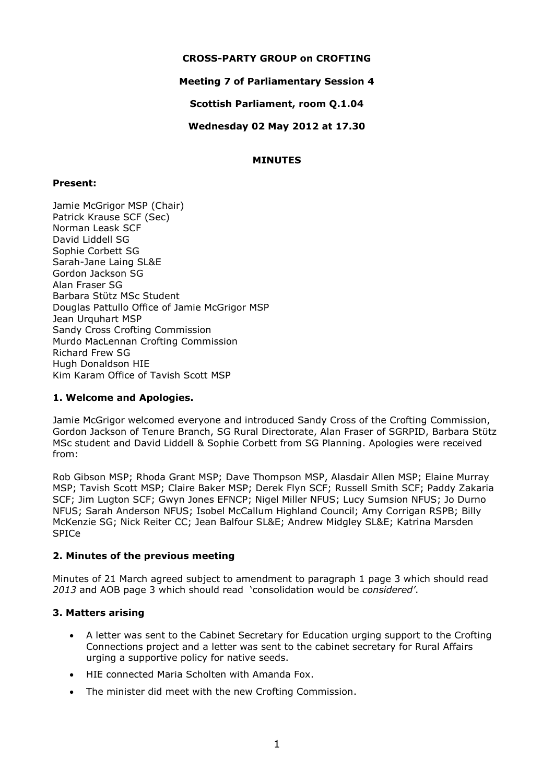### **CROSS-PARTY GROUP on CROFTING**

### **Meeting 7 of Parliamentary Session 4**

**Scottish Parliament, room Q.1.04**

**Wednesday 02 May 2012 at 17.30**

### **MINUTES**

#### **Present:**

Jamie McGrigor MSP (Chair) Patrick Krause SCF (Sec) Norman Leask SCF David Liddell SG Sophie Corbett SG Sarah-Jane Laing SL&E Gordon Jackson SG Alan Fraser SG Barbara Stϋtz MSc Student Douglas Pattullo Office of Jamie McGrigor MSP Jean Urquhart MSP Sandy Cross Crofting Commission Murdo MacLennan Crofting Commission Richard Frew SG Hugh Donaldson HIE Kim Karam Office of Tavish Scott MSP

### **1. Welcome and Apologies.**

Jamie McGrigor welcomed everyone and introduced Sandy Cross of the Crofting Commission, Gordon Jackson of Tenure Branch, SG Rural Directorate, Alan Fraser of SGRPID, Barbara Stϋtz MSc student and David Liddell & Sophie Corbett from SG Planning. Apologies were received from:

Rob Gibson MSP; Rhoda Grant MSP; Dave Thompson MSP, Alasdair Allen MSP; Elaine Murray MSP; Tavish Scott MSP; Claire Baker MSP; Derek Flyn SCF; Russell Smith SCF; Paddy Zakaria SCF; Jim Lugton SCF; Gwyn Jones EFNCP; Nigel Miller NFUS; Lucy Sumsion NFUS; Jo Durno NFUS; Sarah Anderson NFUS; Isobel McCallum Highland Council; Amy Corrigan RSPB; Billy McKenzie SG; Nick Reiter CC; Jean Balfour SL&E; Andrew Midgley SL&E; Katrina Marsden SPICe

### **2. Minutes of the previous meeting**

Minutes of 21 March agreed subject to amendment to paragraph 1 page 3 which should read *2013* and AOB page 3 which should read 'consolidation would be *considered'*.

### **3. Matters arising**

- A letter was sent to the Cabinet Secretary for Education urging support to the Crofting Connections project and a letter was sent to the cabinet secretary for Rural Affairs urging a supportive policy for native seeds.
- HIE connected Maria Scholten with Amanda Fox.
- The minister did meet with the new Crofting Commission.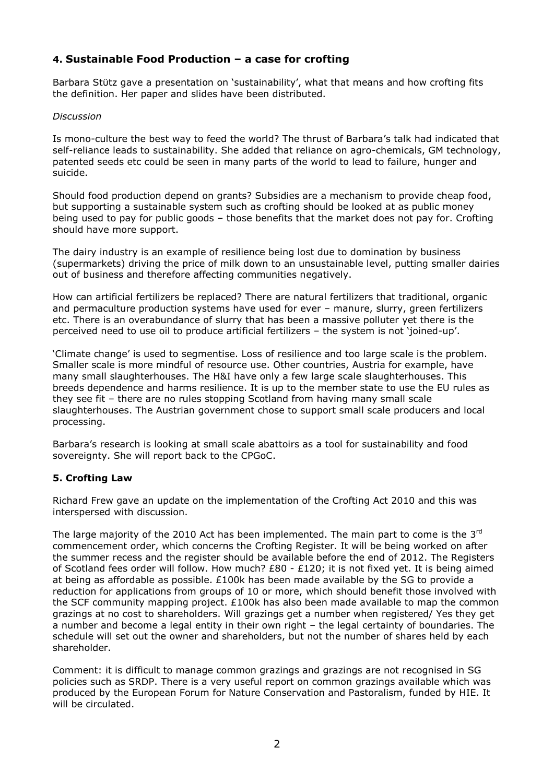# **4. Sustainable Food Production – a case for crofting**

Barbara Stϋtz gave a presentation on 'sustainability', what that means and how crofting fits the definition. Her paper and slides have been distributed.

### *Discussion*

Is mono-culture the best way to feed the world? The thrust of Barbara's talk had indicated that self-reliance leads to sustainability. She added that reliance on agro-chemicals, GM technology, patented seeds etc could be seen in many parts of the world to lead to failure, hunger and suicide.

Should food production depend on grants? Subsidies are a mechanism to provide cheap food, but supporting a sustainable system such as crofting should be looked at as public money being used to pay for public goods – those benefits that the market does not pay for. Crofting should have more support.

The dairy industry is an example of resilience being lost due to domination by business (supermarkets) driving the price of milk down to an unsustainable level, putting smaller dairies out of business and therefore affecting communities negatively.

How can artificial fertilizers be replaced? There are natural fertilizers that traditional, organic and permaculture production systems have used for ever – manure, slurry, green fertilizers etc. There is an overabundance of slurry that has been a massive polluter yet there is the perceived need to use oil to produce artificial fertilizers – the system is not 'joined-up'.

'Climate change' is used to segmentise. Loss of resilience and too large scale is the problem. Smaller scale is more mindful of resource use. Other countries, Austria for example, have many small slaughterhouses. The H&I have only a few large scale slaughterhouses. This breeds dependence and harms resilience. It is up to the member state to use the EU rules as they see fit – there are no rules stopping Scotland from having many small scale slaughterhouses. The Austrian government chose to support small scale producers and local processing.

Barbara's research is looking at small scale abattoirs as a tool for sustainability and food sovereignty. She will report back to the CPGoC.

### **5. Crofting Law**

Richard Frew gave an update on the implementation of the Crofting Act 2010 and this was interspersed with discussion.

The large majority of the 2010 Act has been implemented. The main part to come is the 3<sup>rd</sup> commencement order, which concerns the Crofting Register. It will be being worked on after the summer recess and the register should be available before the end of 2012. The Registers of Scotland fees order will follow. How much? £80 - £120; it is not fixed yet. It is being aimed at being as affordable as possible. £100k has been made available by the SG to provide a reduction for applications from groups of 10 or more, which should benefit those involved with the SCF community mapping project.  $£100k$  has also been made available to map the common grazings at no cost to shareholders. Will grazings get a number when registered/ Yes they get a number and become a legal entity in their own right – the legal certainty of boundaries. The schedule will set out the owner and shareholders, but not the number of shares held by each shareholder.

Comment: it is difficult to manage common grazings and grazings are not recognised in SG policies such as SRDP. There is a very useful report on common grazings available which was produced by the European Forum for Nature Conservation and Pastoralism, funded by HIE. It will be circulated.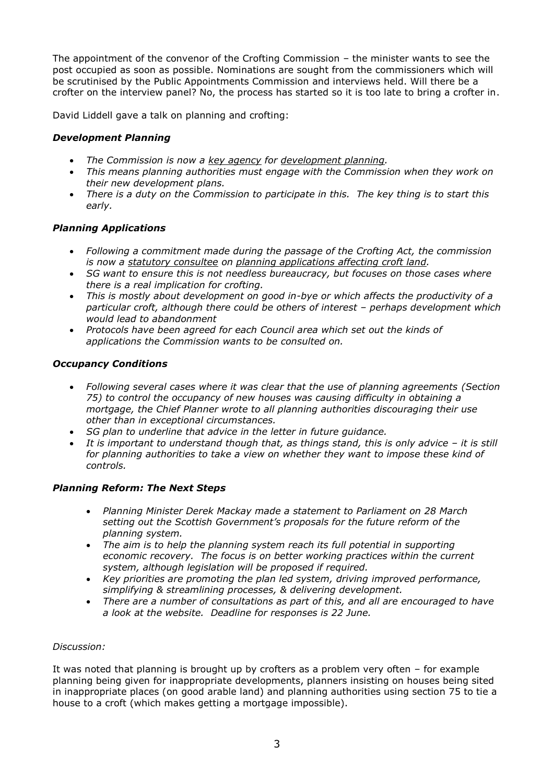The appointment of the convenor of the Crofting Commission – the minister wants to see the post occupied as soon as possible. Nominations are sought from the commissioners which will be scrutinised by the Public Appointments Commission and interviews held. Will there be a crofter on the interview panel? No, the process has started so it is too late to bring a crofter in.

David Liddell gave a talk on planning and crofting:

## *Development Planning*

- *The Commission is now a key agency for development planning.*
- *This means planning authorities must engage with the Commission when they work on their new development plans.*
- *There is a duty on the Commission to participate in this. The key thing is to start this early.*

### *Planning Applications*

- *Following a commitment made during the passage of the Crofting Act, the commission is now a statutory consultee on planning applications affecting croft land.*
- *SG want to ensure this is not needless bureaucracy, but focuses on those cases where there is a real implication for crofting.*
- *This is mostly about development on good in-bye or which affects the productivity of a particular croft, although there could be others of interest – perhaps development which would lead to abandonment*
- *Protocols have been agreed for each Council area which set out the kinds of applications the Commission wants to be consulted on.*

### *Occupancy Conditions*

- *Following several cases where it was clear that the use of planning agreements (Section 75) to control the occupancy of new houses was causing difficulty in obtaining a mortgage, the Chief Planner wrote to all planning authorities discouraging their use other than in exceptional circumstances.*
- *SG plan to underline that advice in the letter in future guidance.*
- *It is important to understand though that, as things stand, this is only advice – it is still for planning authorities to take a view on whether they want to impose these kind of controls.*

### *Planning Reform: The Next Steps*

- *Planning Minister Derek Mackay made a statement to Parliament on 28 March setting out the Scottish Government's proposals for the future reform of the planning system.*
- *The aim is to help the planning system reach its full potential in supporting economic recovery. The focus is on better working practices within the current system, although legislation will be proposed if required.*
- *Key priorities are promoting the plan led system, driving improved performance, simplifying & streamlining processes, & delivering development.*
- *There are a number of consultations as part of this, and all are encouraged to have a look at the website. Deadline for responses is 22 June.*

### *Discussion:*

It was noted that planning is brought up by crofters as a problem very often – for example planning being given for inappropriate developments, planners insisting on houses being sited in inappropriate places (on good arable land) and planning authorities using section 75 to tie a house to a croft (which makes getting a mortgage impossible).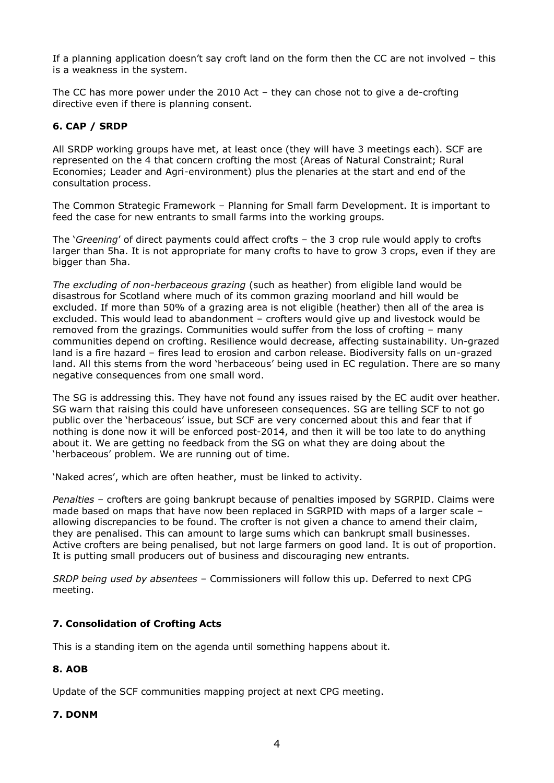If a planning application doesn't say croft land on the form then the CC are not involved – this is a weakness in the system.

The CC has more power under the 2010 Act – they can chose not to give a de-crofting directive even if there is planning consent.

### **6. CAP / SRDP**

All SRDP working groups have met, at least once (they will have 3 meetings each). SCF are represented on the 4 that concern crofting the most (Areas of Natural Constraint; Rural Economies; Leader and Agri-environment) plus the plenaries at the start and end of the consultation process.

The Common Strategic Framework – Planning for Small farm Development. It is important to feed the case for new entrants to small farms into the working groups.

The '*Greening*' of direct payments could affect crofts – the 3 crop rule would apply to crofts larger than 5ha. It is not appropriate for many crofts to have to grow 3 crops, even if they are bigger than 5ha.

*The excluding of non-herbaceous grazing* (such as heather) from eligible land would be disastrous for Scotland where much of its common grazing moorland and hill would be excluded. If more than 50% of a grazing area is not eligible (heather) then all of the area is excluded. This would lead to abandonment – crofters would give up and livestock would be removed from the grazings. Communities would suffer from the loss of crofting – many communities depend on crofting. Resilience would decrease, affecting sustainability. Un-grazed land is a fire hazard – fires lead to erosion and carbon release. Biodiversity falls on un-grazed land. All this stems from the word 'herbaceous' being used in EC regulation. There are so many negative consequences from one small word.

The SG is addressing this. They have not found any issues raised by the EC audit over heather. SG warn that raising this could have unforeseen consequences. SG are telling SCF to not go public over the 'herbaceous' issue, but SCF are very concerned about this and fear that if nothing is done now it will be enforced post-2014, and then it will be too late to do anything about it. We are getting no feedback from the SG on what they are doing about the 'herbaceous' problem. We are running out of time.

'Naked acres', which are often heather, must be linked to activity.

*Penalties* – crofters are going bankrupt because of penalties imposed by SGRPID. Claims were made based on maps that have now been replaced in SGRPID with maps of a larger scale – allowing discrepancies to be found. The crofter is not given a chance to amend their claim, they are penalised. This can amount to large sums which can bankrupt small businesses. Active crofters are being penalised, but not large farmers on good land. It is out of proportion. It is putting small producers out of business and discouraging new entrants.

*SRDP being used by absentees* – Commissioners will follow this up. Deferred to next CPG meeting.

### **7. Consolidation of Crofting Acts**

This is a standing item on the agenda until something happens about it.

### **8. AOB**

Update of the SCF communities mapping project at next CPG meeting.

### **7. DONM**